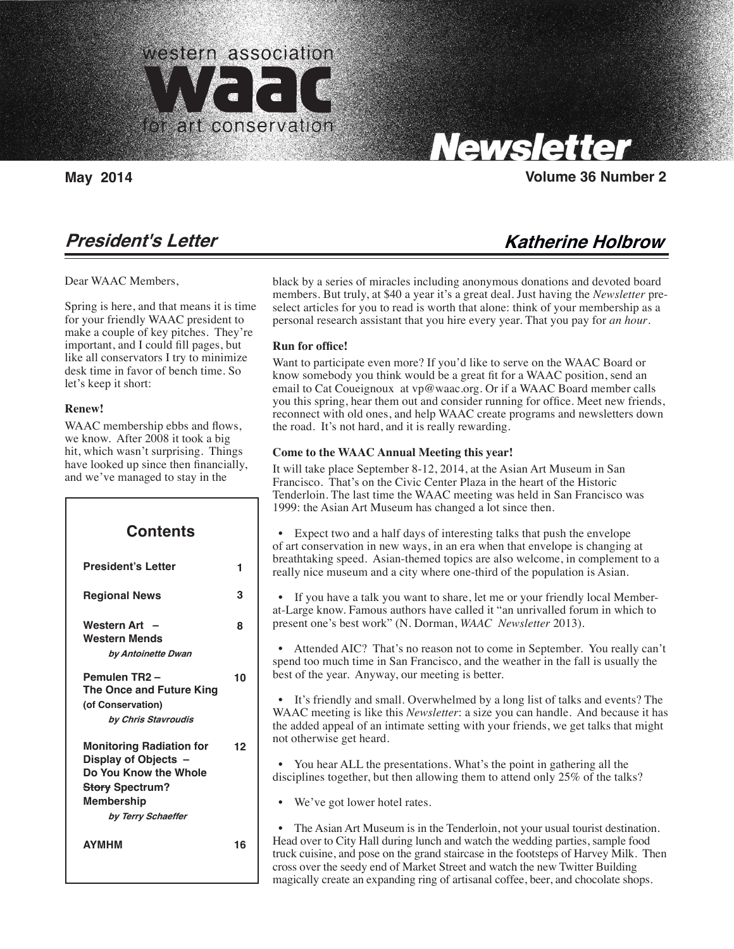

Carolyn Tallent, Editor

# **President's Letter**

Dear WAAC Members,

Spring is here, and that means it is time for your friendly WAAC president to make a couple of key pitches. They're important, and I could fill pages, but like all conservators I try to minimize desk time in favor of bench time. So let's keep it short:

### **Renew!**

WAAC membership ebbs and flows, we know. After 2008 it took a big hit, which wasn't surprising. Things have looked up since then financially, and we've managed to stay in the

| <b>Contents</b>                                                                                                                                       |    |
|-------------------------------------------------------------------------------------------------------------------------------------------------------|----|
| <b>President's Letter</b>                                                                                                                             | 1  |
| <b>Regional News</b>                                                                                                                                  | 3  |
| <b>Western Art</b><br><b>Western Mends</b><br>by Antoinette Dwan                                                                                      | ឧ  |
| Pemulen TR2-<br>The Once and Future King<br>(of Conservation)<br>by Chris Stavroudis                                                                  | 10 |
| <b>Monitoring Radiation for</b><br>Display of Objects -<br>Do You Know the Whole<br><b>Story Spectrum?</b><br><b>Membership</b><br>by Terry Schaeffer | 12 |
| <b>AYMHM</b>                                                                                                                                          | 16 |

# Newsletter

**May 2014 Volume 36 Number 2**

# **Katherine Holbrow**

black by a series of miracles including anonymous donations and devoted board members. But truly, at \$40 a year it's a great deal. Just having the *Newsletter* preselect articles for you to read is worth that alone: think of your membership as a personal research assistant that you hire every year. That you pay for *an hour*.

### **Run for office!**

Want to participate even more? If you'd like to serve on the WAAC Board or know somebody you think would be a great fit for a WAAC position, send an email to Cat Coueignoux at vp@waac.org. Or if a WAAC Board member calls you this spring, hear them out and consider running for office. Meet new friends, reconnect with old ones, and help WAAC create programs and newsletters down the road. It's not hard, and it is really rewarding.

### **Come to the WAAC Annual Meeting this year!**

It will take place September 8-12, 2014, at the Asian Art Museum in San Francisco. That's on the Civic Center Plaza in the heart of the Historic Tenderloin. The last time the WAAC meeting was held in San Francisco was 1999: the Asian Art Museum has changed a lot since then.

 • Expect two and a half days of interesting talks that push the envelope of art conservation in new ways, in an era when that envelope is changing at breathtaking speed. Asian-themed topics are also welcome, in complement to a really nice museum and a city where one-third of the population is Asian.

 • If you have a talk you want to share, let me or your friendly local Memberat-Large know. Famous authors have called it "an unrivalled forum in which to present one's best work" (N. Dorman, *WAAC Newsletter* 2013).

 • Attended AIC? That's no reason not to come in September. You really can't spend too much time in San Francisco, and the weather in the fall is usually the best of the year. Anyway, our meeting is better.

 • It's friendly and small. Overwhelmed by a long list of talks and events? The WAAC meeting is like this *Newsletter*: a size you can handle. And because it has the added appeal of an intimate setting with your friends, we get talks that might not otherwise get heard.

 • You hear ALL the presentations. What's the point in gathering all the disciplines together, but then allowing them to attend only 25% of the talks?

We've got lower hotel rates.

• The Asian Art Museum is in the Tenderloin, not your usual tourist destination. Head over to City Hall during lunch and watch the wedding parties, sample food truck cuisine, and pose on the grand staircase in the footsteps of Harvey Milk. Then cross over the seedy end of Market Street and watch the new Twitter Building magically create an expanding ring of artisanal coffee, beer, and chocolate shops.